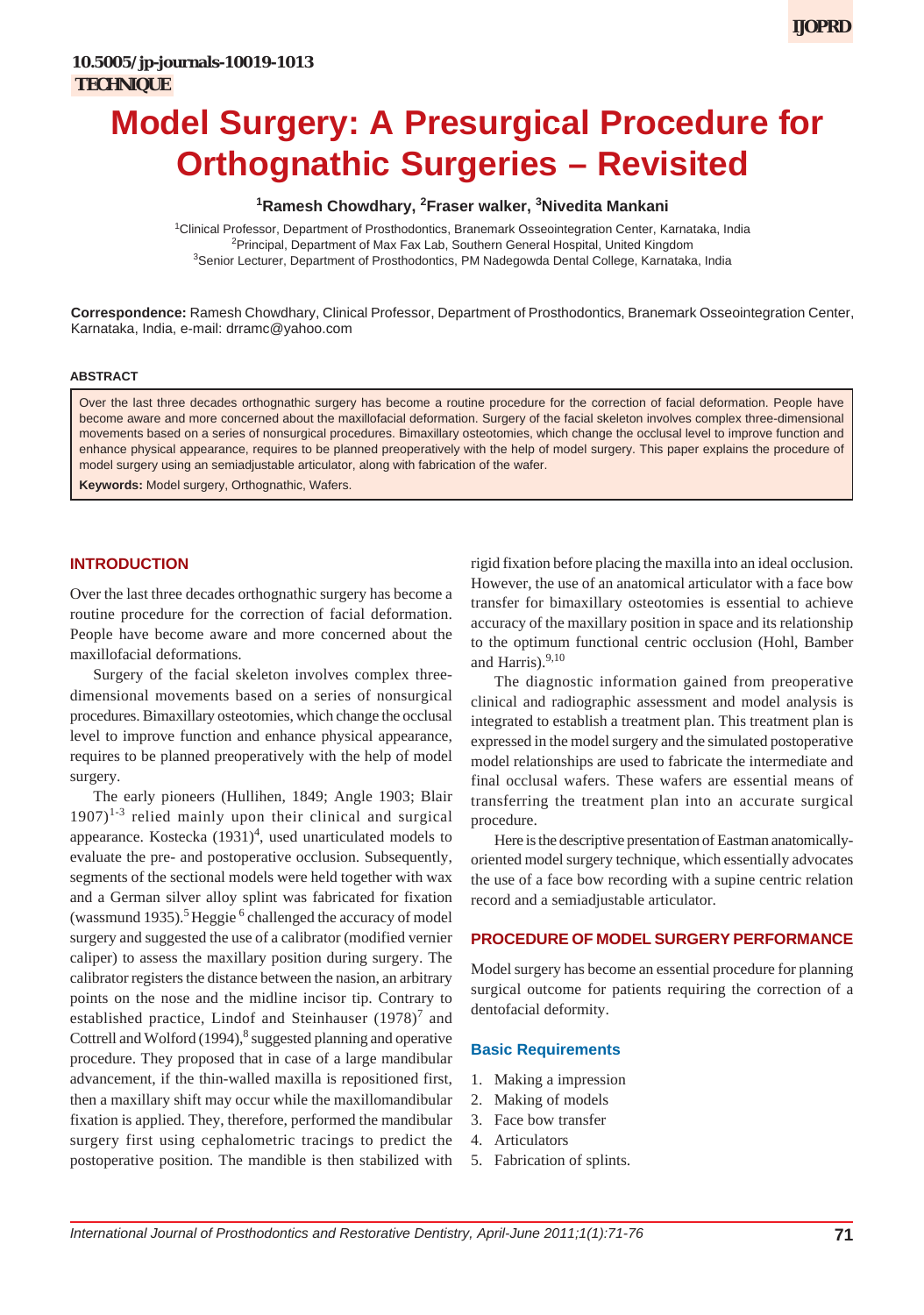# **1 Ramesh Chowdhary, <sup>2</sup> Fraser walker, <sup>3</sup> Nivedita Mankani**

1 Clinical Professor, Department of Prosthodontics, Branemark Osseointegration Center, Karnataka, India <sup>2</sup>Principal, Department of Max Fax Lab, Southern General Hospital, United Kingdom <sup>3</sup>Senior Lecturer, Department of Prosthodontics, PM Nadegowda Dental College, Karnataka, India

**Correspondence:** Ramesh Chowdhary, Clinical Professor, Department of Prosthodontics, Branemark Osseointegration Center, Karnataka, India, e-mail: drramc@yahoo.com

#### **ABSTRACT**

Over the last three decades orthognathic surgery has become a routine procedure for the correction of facial deformation. People have become aware and more concerned about the maxillofacial deformation. Surgery of the facial skeleton involves complex three-dimensional movements based on a series of nonsurgical procedures. Bimaxillary osteotomies, which change the occlusal level to improve function and enhance physical appearance, requires to be planned preoperatively with the help of model surgery. This paper explains the procedure of model surgery using an semiadjustable articulator, along with fabrication of the wafer.

**Keywords:** Model surgery, Orthognathic, Wafers.

## **INTRODUCTION**

Over the last three decades orthognathic surgery has become a routine procedure for the correction of facial deformation. People have become aware and more concerned about the maxillofacial deformations.

Surgery of the facial skeleton involves complex threedimensional movements based on a series of nonsurgical procedures. Bimaxillary osteotomies, which change the occlusal level to improve function and enhance physical appearance, requires to be planned preoperatively with the help of model surgery.

The early pioneers (Hullihen, 1849; Angle 1903; Blair  $1907$ <sup>1-3</sup> relied mainly upon their clinical and surgical appearance. Kostecka  $(1931)^4$ , used unarticulated models to evaluate the pre- and postoperative occlusion. Subsequently, segments of the sectional models were held together with wax and a German silver alloy splint was fabricated for fixation (wassmund 1935).<sup>5</sup> Heggie<sup>6</sup> challenged the accuracy of model surgery and suggested the use of a calibrator (modified vernier caliper) to assess the maxillary position during surgery. The calibrator registers the distance between the nasion, an arbitrary points on the nose and the midline incisor tip. Contrary to established practice, Lindof and Steinhauser  $(1978)^7$  and Cottrell and Wolford  $(1994)$ ,<sup>8</sup> suggested planning and operative procedure. They proposed that in case of a large mandibular advancement, if the thin-walled maxilla is repositioned first, then a maxillary shift may occur while the maxillomandibular fixation is applied. They, therefore, performed the mandibular surgery first using cephalometric tracings to predict the postoperative position. The mandible is then stabilized with

rigid fixation before placing the maxilla into an ideal occlusion. However, the use of an anatomical articulator with a face bow transfer for bimaxillary osteotomies is essential to achieve accuracy of the maxillary position in space and its relationship to the optimum functional centric occlusion (Hohl, Bamber and Harris).<sup>9,10</sup>

The diagnostic information gained from preoperative clinical and radiographic assessment and model analysis is integrated to establish a treatment plan. This treatment plan is expressed in the model surgery and the simulated postoperative model relationships are used to fabricate the intermediate and final occlusal wafers. These wafers are essential means of transferring the treatment plan into an accurate surgical procedure.

Here is the descriptive presentation of Eastman anatomicallyoriented model surgery technique, which essentially advocates the use of a face bow recording with a supine centric relation record and a semiadjustable articulator.

#### **PROCEDURE OF MODEL SURGERY PERFORMANCE**

Model surgery has become an essential procedure for planning surgical outcome for patients requiring the correction of a dentofacial deformity.

#### **Basic Requirements**

- 1. Making a impression
- 2. Making of models
- 3. Face bow transfer
- 4. Articulators
- 5. Fabrication of splints.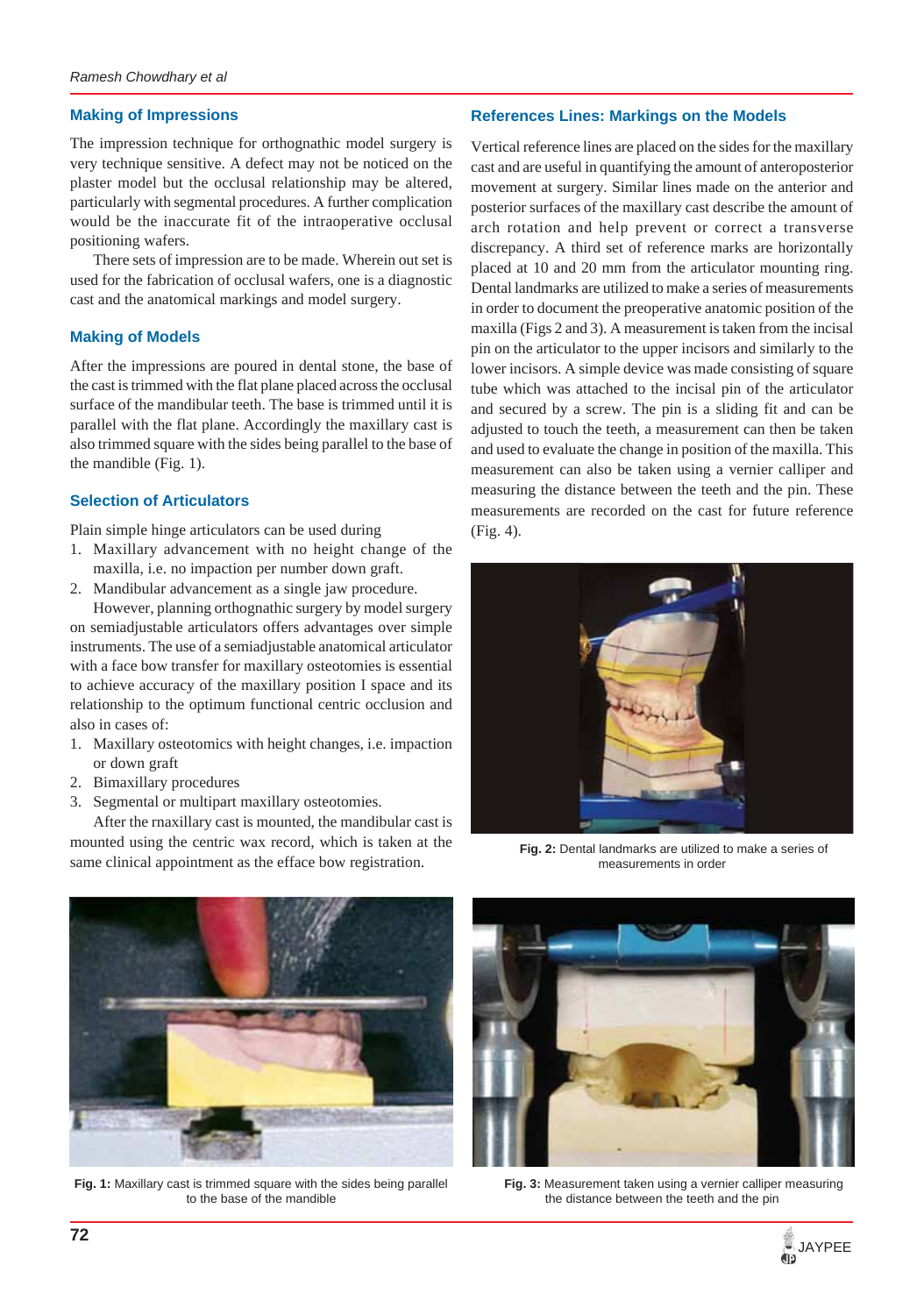# **Making of Impressions**

The impression technique for orthognathic model surgery is very technique sensitive. A defect may not be noticed on the plaster model but the occlusal relationship may be altered, particularly with segmental procedures. A further complication would be the inaccurate fit of the intraoperative occlusal positioning wafers.

There sets of impression are to be made. Wherein out set is used for the fabrication of occlusal wafers, one is a diagnostic cast and the anatomical markings and model surgery.

### **Making of Models**

After the impressions are poured in dental stone, the base of the cast is trimmed with the flat plane placed across the occlusal surface of the mandibular teeth. The base is trimmed until it is parallel with the flat plane. Accordingly the maxillary cast is also trimmed square with the sides being parallel to the base of the mandible (Fig. 1).

### **Selection of Articulators**

Plain simple hinge articulators can be used during

- 1. Maxillary advancement with no height change of the maxilla, i.e. no impaction per number down graft.
- 2. Mandibular advancement as a single jaw procedure.

However, planning orthognathic surgery by model surgery on semiadjustable articulators offers advantages over simple instruments. The use of a semiadjustable anatomical articulator with a face bow transfer for maxillary osteotomies is essential to achieve accuracy of the maxillary position I space and its relationship to the optimum functional centric occlusion and also in cases of:

- 1. Maxillary osteotomics with height changes, i.e. impaction or down graft
- 2. Bimaxillary procedures
- 3. Segmental or multipart maxillary osteotomies.

After the rnaxillary cast is mounted, the mandibular cast is mounted using the centric wax record, which is taken at the same clinical appointment as the efface bow registration.



Vertical reference lines are placed on the sides for the maxillary cast and are useful in quantifying the amount of anteroposterior movement at surgery. Similar lines made on the anterior and posterior surfaces of the maxillary cast describe the amount of arch rotation and help prevent or correct a transverse discrepancy. A third set of reference marks are horizontally placed at 10 and 20 mm from the articulator mounting ring. Dental landmarks are utilized to make a series of measurements in order to document the preoperative anatomic position of the maxilla (Figs 2 and 3). A measurement is taken from the incisal pin on the articulator to the upper incisors and similarly to the lower incisors. A simple device was made consisting of square tube which was attached to the incisal pin of the articulator and secured by a screw. The pin is a sliding fit and can be adjusted to touch the teeth, a measurement can then be taken and used to evaluate the change in position of the maxilla. This measurement can also be taken using a vernier calliper and measuring the distance between the teeth and the pin. These measurements are recorded on the cast for future reference (Fig. 4).



**Fig. 2:** Dental landmarks are utilized to make a series of measurements in order



**Fig. 1:** Maxillary cast is trimmed square with the sides being parallel to the base of the mandible



**Fig. 3:** Measurement taken using a vernier calliper measuring the distance between the teeth and the pin

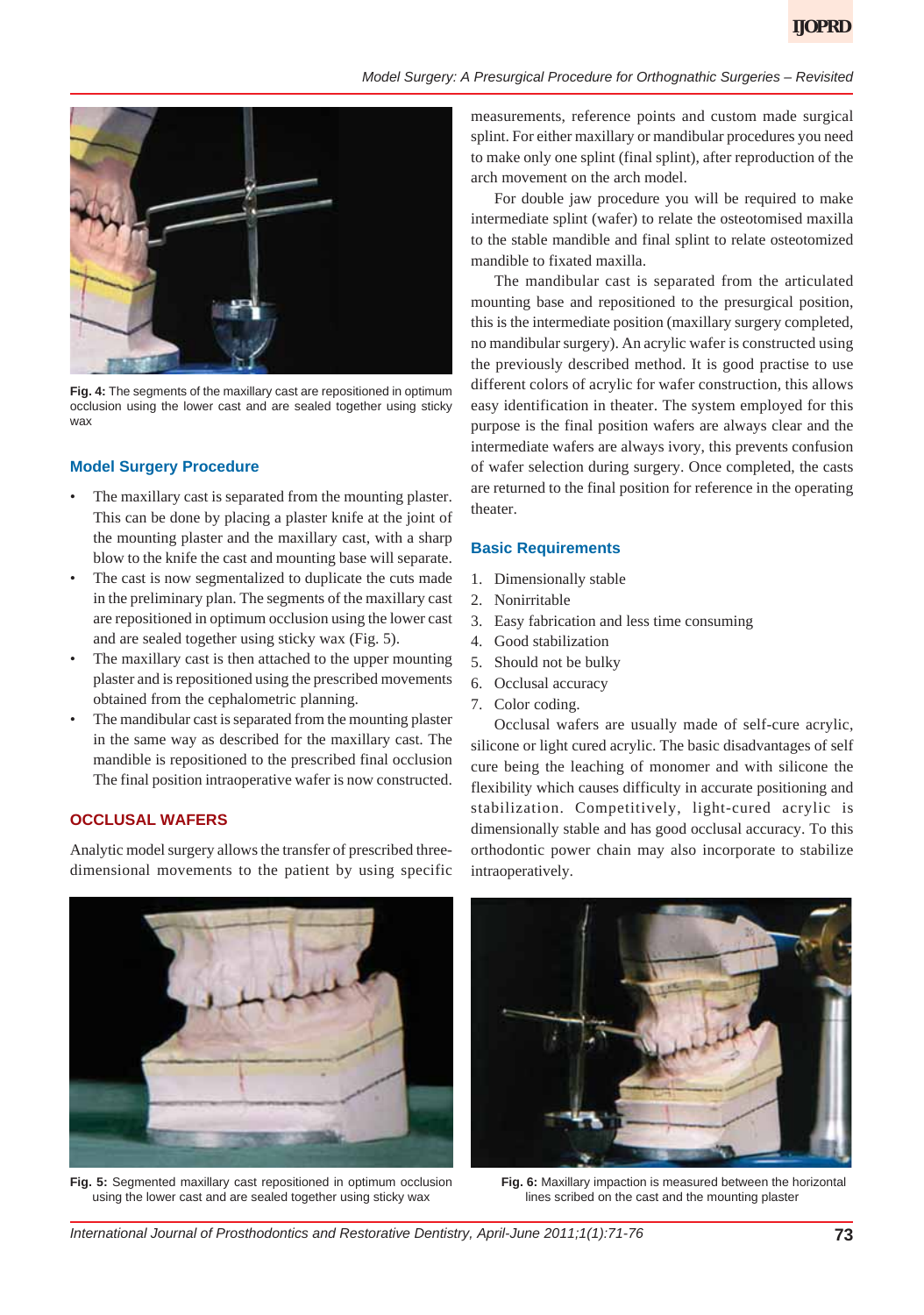

**Fig. 4:** The segments of the maxillary cast are repositioned in optimum occlusion using the lower cast and are sealed together using sticky wax

# **Model Surgery Procedure**

- The maxillary cast is separated from the mounting plaster. This can be done by placing a plaster knife at the joint of the mounting plaster and the maxillary cast, with a sharp blow to the knife the cast and mounting base will separate.
- The cast is now segmentalized to duplicate the cuts made in the preliminary plan. The segments of the maxillary cast are repositioned in optimum occlusion using the lower cast and are sealed together using sticky wax (Fig. 5).
- The maxillary cast is then attached to the upper mounting plaster and is repositioned using the prescribed movements obtained from the cephalometric planning.
- The mandibular cast is separated from the mounting plaster in the same way as described for the maxillary cast. The mandible is repositioned to the prescribed final occlusion The final position intraoperative wafer is now constructed.

# **OCCLUSAL WAFERS**

Analytic model surgery allows the transfer of prescribed threedimensional movements to the patient by using specific measurements, reference points and custom made surgical splint. For either maxillary or mandibular procedures you need to make only one splint (final splint), after reproduction of the arch movement on the arch model.

For double jaw procedure you will be required to make intermediate splint (wafer) to relate the osteotomised maxilla to the stable mandible and final splint to relate osteotomized mandible to fixated maxilla.

The mandibular cast is separated from the articulated mounting base and repositioned to the presurgical position, this is the intermediate position (maxillary surgery completed, no mandibular surgery). An acrylic wafer is constructed using the previously described method. It is good practise to use different colors of acrylic for wafer construction, this allows easy identification in theater. The system employed for this purpose is the final position wafers are always clear and the intermediate wafers are always ivory, this prevents confusion of wafer selection during surgery. Once completed, the casts are returned to the final position for reference in the operating theater.

### **Basic Requirements**

- 1. Dimensionally stable
- 2. Nonirritable
- 3. Easy fabrication and less time consuming
- 4. Good stabilization
- 5. Should not be bulky
- 6. Occlusal accuracy
- 7. Color coding.

Occlusal wafers are usually made of self-cure acrylic, silicone or light cured acrylic. The basic disadvantages of self cure being the leaching of monomer and with silicone the flexibility which causes difficulty in accurate positioning and stabilization. Competitively, light-cured acrylic is dimensionally stable and has good occlusal accuracy. To this orthodontic power chain may also incorporate to stabilize intraoperatively.



**Fig. 5:** Segmented maxillary cast repositioned in optimum occlusion using the lower cast and are sealed together using sticky wax



**Fig. 6:** Maxillary impaction is measured between the horizontal lines scribed on the cast and the mounting plaster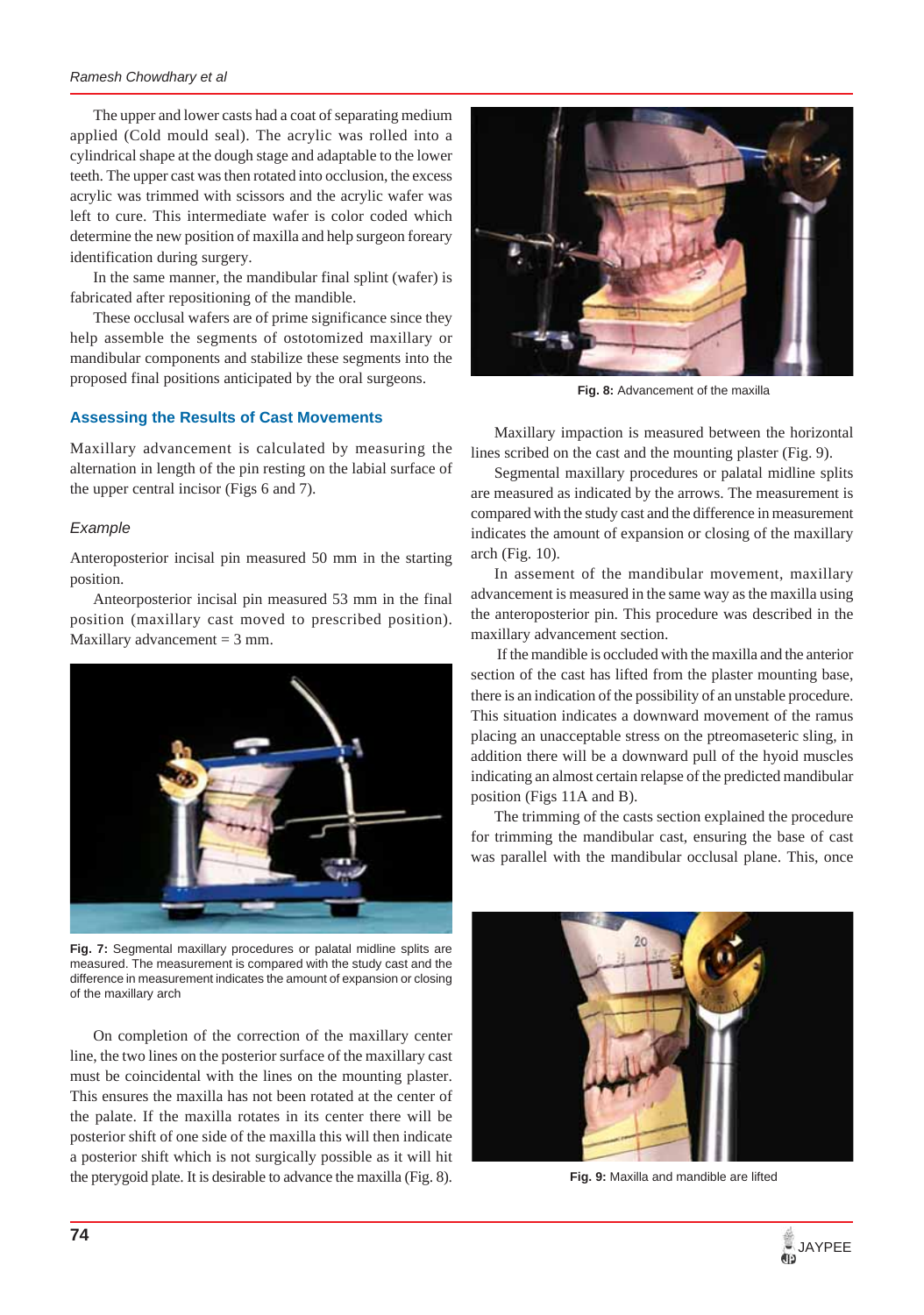#### *Ramesh Chowdhary et al*

The upper and lower casts had a coat of separating medium applied (Cold mould seal). The acrylic was rolled into a cylindrical shape at the dough stage and adaptable to the lower teeth. The upper cast was then rotated into occlusion, the excess acrylic was trimmed with scissors and the acrylic wafer was left to cure. This intermediate wafer is color coded which determine the new position of maxilla and help surgeon foreary identification during surgery.

In the same manner, the mandibular final splint (wafer) is fabricated after repositioning of the mandible.

These occlusal wafers are of prime significance since they help assemble the segments of ostotomized maxillary or mandibular components and stabilize these segments into the proposed final positions anticipated by the oral surgeons.

### **Assessing the Results of Cast Movements**

Maxillary advancement is calculated by measuring the alternation in length of the pin resting on the labial surface of the upper central incisor (Figs 6 and 7).

### *Example*

Anteroposterior incisal pin measured 50 mm in the starting position.

Anteorposterior incisal pin measured 53 mm in the final position (maxillary cast moved to prescribed position). Maxillary advancement  $=$  3 mm.



**Fig. 7:** Segmental maxillary procedures or palatal midline splits are measured. The measurement is compared with the study cast and the difference in measurement indicates the amount of expansion or closing of the maxillary arch

On completion of the correction of the maxillary center line, the two lines on the posterior surface of the maxillary cast must be coincidental with the lines on the mounting plaster. This ensures the maxilla has not been rotated at the center of the palate. If the maxilla rotates in its center there will be posterior shift of one side of the maxilla this will then indicate a posterior shift which is not surgically possible as it will hit the pterygoid plate. It is desirable to advance the maxilla (Fig. 8).



**Fig. 8:** Advancement of the maxilla

Maxillary impaction is measured between the horizontal lines scribed on the cast and the mounting plaster (Fig. 9).

Segmental maxillary procedures or palatal midline splits are measured as indicated by the arrows. The measurement is compared with the study cast and the difference in measurement indicates the amount of expansion or closing of the maxillary arch (Fig. 10).

In assement of the mandibular movement, maxillary advancement is measured in the same way as the maxilla using the anteroposterior pin. This procedure was described in the maxillary advancement section.

 If the mandible is occluded with the maxilla and the anterior section of the cast has lifted from the plaster mounting base, there is an indication of the possibility of an unstable procedure. This situation indicates a downward movement of the ramus placing an unacceptable stress on the ptreomaseteric sling, in addition there will be a downward pull of the hyoid muscles indicating an almost certain relapse of the predicted mandibular position (Figs 11A and B).

The trimming of the casts section explained the procedure for trimming the mandibular cast, ensuring the base of cast was parallel with the mandibular occlusal plane. This, once



**Fig. 9:** Maxilla and mandible are lifted

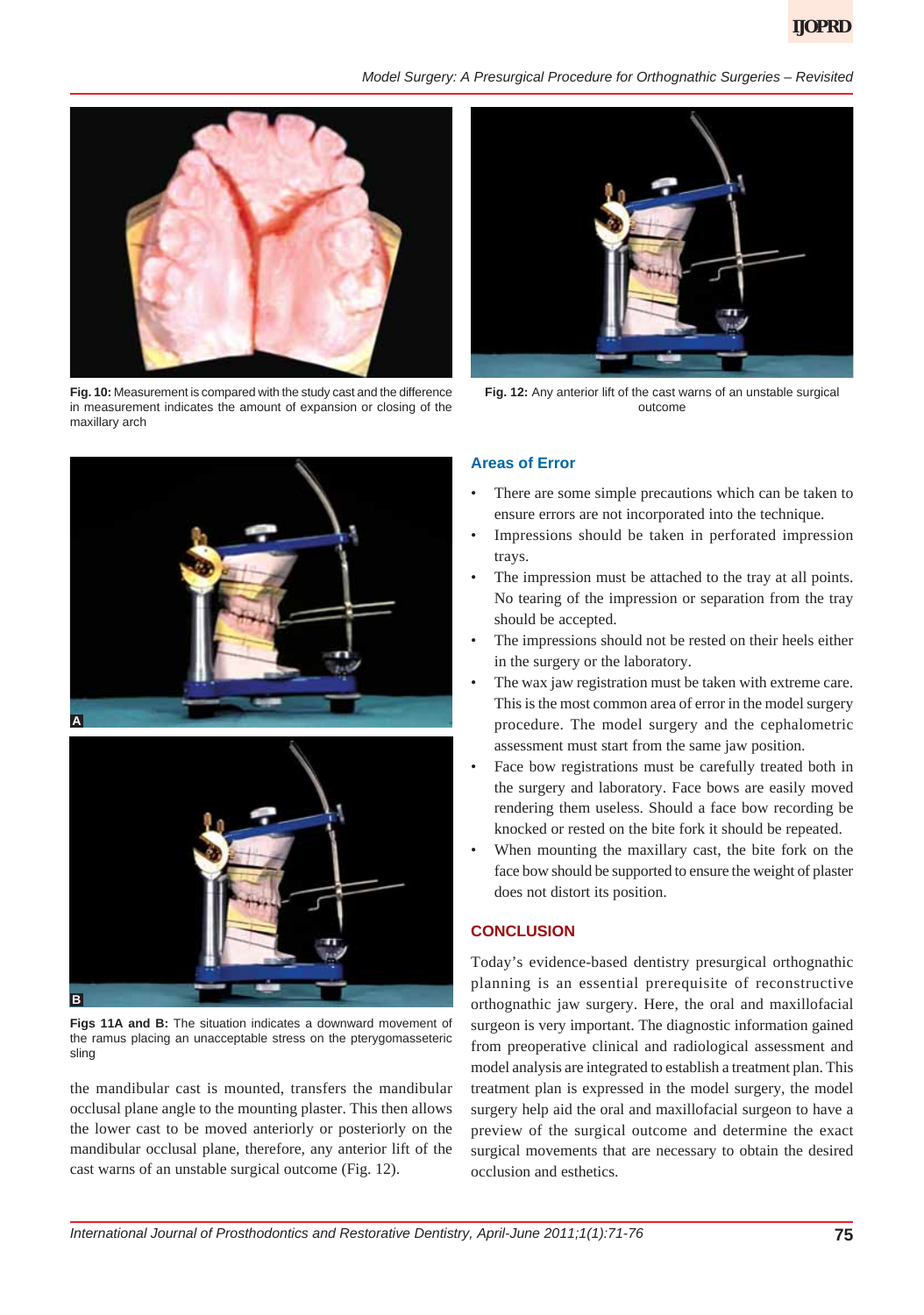### *Model Surgery: A Presurgical Procedure for Orthognathic Surgeries – Revisited*



**Fig. 10:** Measurement is compared with the study cast and the difference in measurement indicates the amount of expansion or closing of the maxillary arch





**Figs 11A and B:** The situation indicates a downward movement of the ramus placing an unacceptable stress on the pterygomasseteric sling

the mandibular cast is mounted, transfers the mandibular occlusal plane angle to the mounting plaster. This then allows the lower cast to be moved anteriorly or posteriorly on the mandibular occlusal plane, therefore, any anterior lift of the cast warns of an unstable surgical outcome (Fig. 12).



**Fig. 12:** Any anterior lift of the cast warns of an unstable surgical outcome

## **Areas of Error**

- There are some simple precautions which can be taken to ensure errors are not incorporated into the technique.
- Impressions should be taken in perforated impression trays.
- The impression must be attached to the tray at all points. No tearing of the impression or separation from the tray should be accepted.
- The impressions should not be rested on their heels either in the surgery or the laboratory.
- The wax jaw registration must be taken with extreme care. This is the most common area of error in the model surgery procedure. The model surgery and the cephalometric assessment must start from the same jaw position.
- Face bow registrations must be carefully treated both in the surgery and laboratory. Face bows are easily moved rendering them useless. Should a face bow recording be knocked or rested on the bite fork it should be repeated.
- When mounting the maxillary cast, the bite fork on the face bow should be supported to ensure the weight of plaster does not distort its position.

## **CONCLUSION**

Today's evidence-based dentistry presurgical orthognathic planning is an essential prerequisite of reconstructive orthognathic jaw surgery. Here, the oral and maxillofacial surgeon is very important. The diagnostic information gained from preoperative clinical and radiological assessment and model analysis are integrated to establish a treatment plan. This treatment plan is expressed in the model surgery, the model surgery help aid the oral and maxillofacial surgeon to have a preview of the surgical outcome and determine the exact surgical movements that are necessary to obtain the desired occlusion and esthetics.